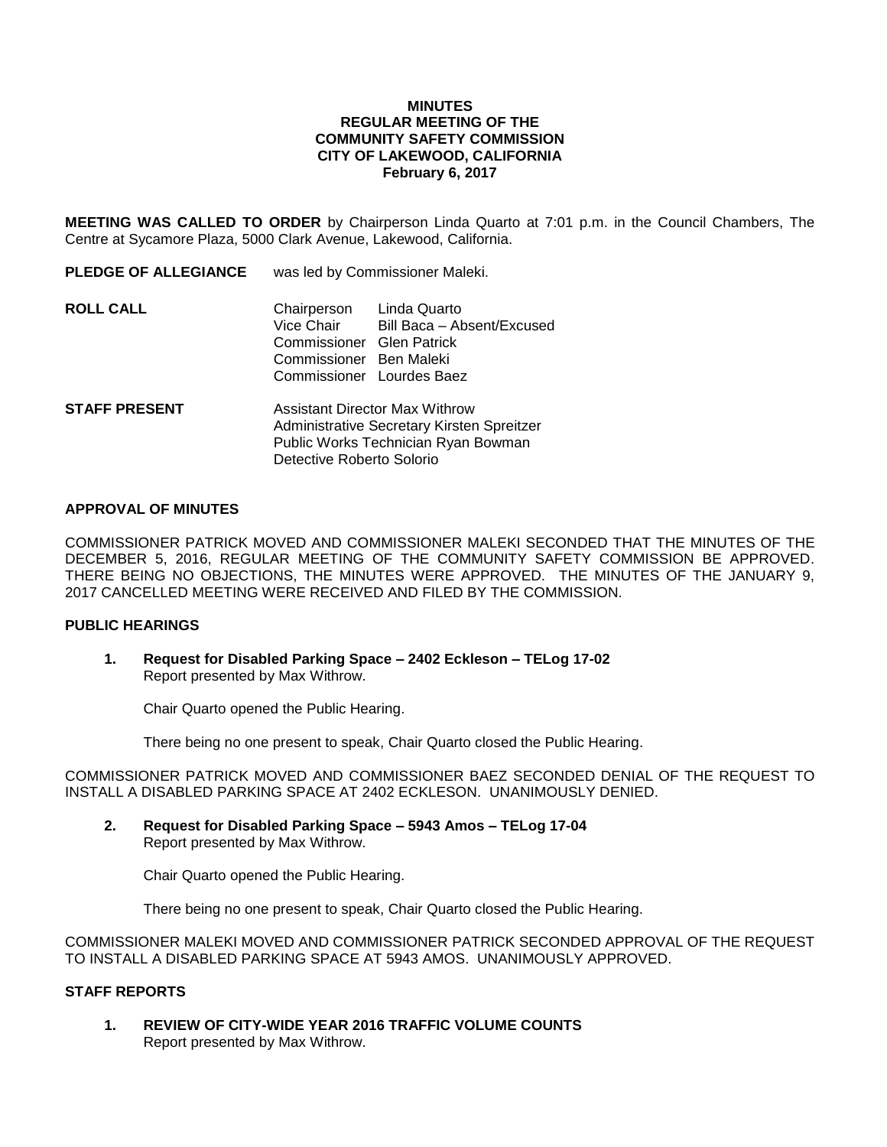#### **MINUTES REGULAR MEETING OF THE COMMUNITY SAFETY COMMISSION CITY OF LAKEWOOD, CALIFORNIA February 6, 2017**

**MEETING WAS CALLED TO ORDER** by Chairperson Linda Quarto at 7:01 p.m. in the Council Chambers, The Centre at Sycamore Plaza, 5000 Clark Avenue, Lakewood, California.

| <b>PLEDGE OF ALLEGIANCE</b> | was led by Commissioner Maleki.                                                                                                                         |                                                                         |
|-----------------------------|---------------------------------------------------------------------------------------------------------------------------------------------------------|-------------------------------------------------------------------------|
| <b>ROLL CALL</b>            | Chairperson<br>Vice Chair<br>Commissioner Glen Patrick<br>Commissioner Ben Maleki                                                                       | Linda Quarto<br>Bill Baca - Absent/Excused<br>Commissioner Lourdes Baez |
| <b>STAFF PRESENT</b>        | <b>Assistant Director Max Withrow</b><br>Administrative Secretary Kirsten Spreitzer<br>Public Works Technician Ryan Bowman<br>Detective Roberto Solorio |                                                                         |

## **APPROVAL OF MINUTES**

COMMISSIONER PATRICK MOVED AND COMMISSIONER MALEKI SECONDED THAT THE MINUTES OF THE DECEMBER 5, 2016, REGULAR MEETING OF THE COMMUNITY SAFETY COMMISSION BE APPROVED. THERE BEING NO OBJECTIONS, THE MINUTES WERE APPROVED. THE MINUTES OF THE JANUARY 9, 2017 CANCELLED MEETING WERE RECEIVED AND FILED BY THE COMMISSION.

### **PUBLIC HEARINGS**

**1. Request for Disabled Parking Space – 2402 Eckleson – TELog 17-02** Report presented by Max Withrow.

Chair Quarto opened the Public Hearing.

There being no one present to speak, Chair Quarto closed the Public Hearing.

COMMISSIONER PATRICK MOVED AND COMMISSIONER BAEZ SECONDED DENIAL OF THE REQUEST TO INSTALL A DISABLED PARKING SPACE AT 2402 ECKLESON. UNANIMOUSLY DENIED.

**2. Request for Disabled Parking Space – 5943 Amos – TELog 17-04** Report presented by Max Withrow.

Chair Quarto opened the Public Hearing.

There being no one present to speak, Chair Quarto closed the Public Hearing.

COMMISSIONER MALEKI MOVED AND COMMISSIONER PATRICK SECONDED APPROVAL OF THE REQUEST TO INSTALL A DISABLED PARKING SPACE AT 5943 AMOS. UNANIMOUSLY APPROVED.

# **STAFF REPORTS**

**1. REVIEW OF CITY-WIDE YEAR 2016 TRAFFIC VOLUME COUNTS** Report presented by Max Withrow.